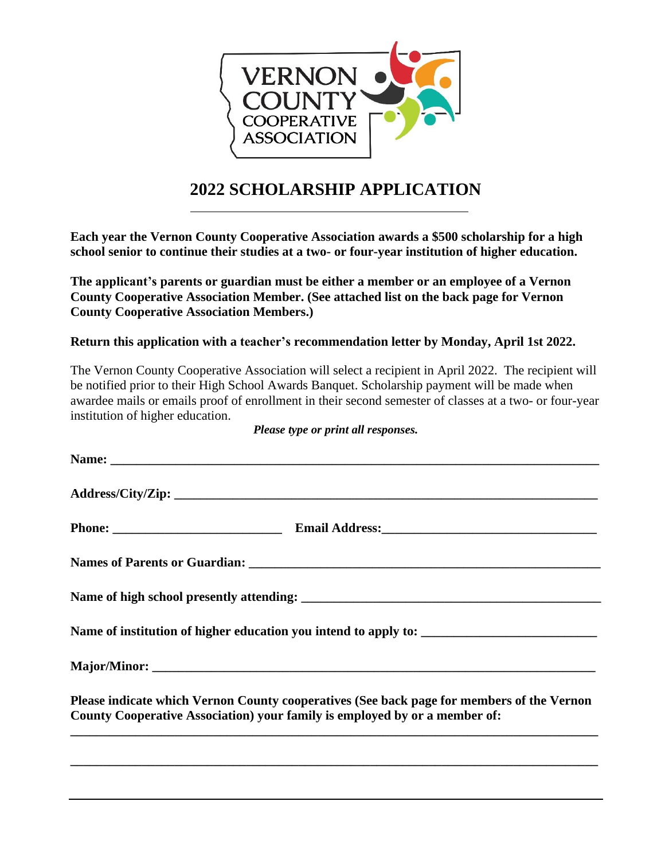

## **2022 SCHOLARSHIP APPLICATION**

**Each year the Vernon County Cooperative Association awards a \$500 scholarship for a high school senior to continue their studies at a two- or four-year institution of higher education.**

**The applicant's parents or guardian must be either a member or an employee of a Vernon County Cooperative Association Member. (See attached list on the back page for Vernon County Cooperative Association Members.)**

## **Return this application with a teacher's recommendation letter by Monday, April 1st 2022.**

The Vernon County Cooperative Association will select a recipient in April 2022. The recipient will be notified prior to their High School Awards Banquet. Scholarship payment will be made when awardee mails or emails proof of enrollment in their second semester of classes at a two- or four-year institution of higher education.

| Please indicate which Vernon County cooperatives (See back page for members of the Vernon<br>County Cooperative Association) your family is employed by or a member of: |  |
|-------------------------------------------------------------------------------------------------------------------------------------------------------------------------|--|
|                                                                                                                                                                         |  |

*Please type or print all responses.*